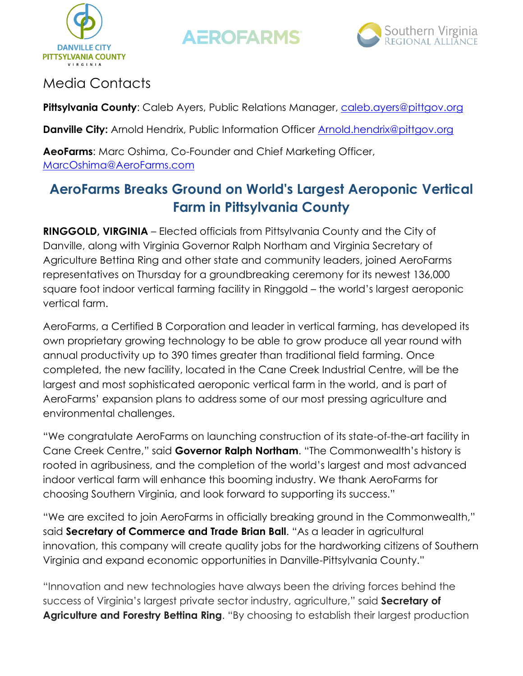



### Media Contacts

**Pittsylvania County:** Caleb Ayers, Public Relations Manager, [caleb.ayers@pittgov.org](mailto:caleb.ayers@pittgov.org)

**Danville City:** Arnold Hendrix, Public Information Officer [Arnold.hendrix@pittgov.org](mailto:Arnold.hendrix@pittgov.org)

**AeoFarms**: Marc Oshima, Co-Founder and Chief Marketing Officer, [MarcOshima@AeroFarms.com](mailto:MarcOshima@AeroFarms.com)

## **AeroFarms Breaks Ground on World's Largest Aeroponic Vertical Farm in Pittsylvania County**

**RINGGOLD, VIRGINIA** – Elected officials from Pittsylvania County and the City of Danville, along with Virginia Governor Ralph Northam and Virginia Secretary of Agriculture Bettina Ring and other state and community leaders, joined AeroFarms representatives on Thursday for a groundbreaking ceremony for its newest 136,000 square foot indoor vertical farming facility in Ringgold – the world's largest aeroponic vertical farm.

AeroFarms, a Certified B Corporation and leader in vertical farming, has developed its own proprietary growing technology to be able to grow produce all year round with annual productivity up to 390 times greater than traditional field farming. Once completed, the new facility, located in the Cane Creek Industrial Centre, will be the largest and most sophisticated aeroponic vertical farm in the world, and is part of AeroFarms' expansion plans to address some of our most pressing agriculture and environmental challenges.

"We congratulate AeroFarms on launching construction of its state-of-the-art facility in Cane Creek Centre," said **Governor Ralph Northam**. "The Commonwealth's history is rooted in agribusiness, and the completion of the world's largest and most advanced indoor vertical farm will enhance this booming industry. We thank AeroFarms for choosing Southern Virginia, and look forward to supporting its success."

"We are excited to join AeroFarms in officially breaking ground in the Commonwealth," said **Secretary of Commerce and Trade Brian Ball**. "As a leader in agricultural innovation, this company will create quality jobs for the hardworking citizens of Southern Virginia and expand economic opportunities in Danville-Pittsylvania County."

"Innovation and new technologies have always been the driving forces behind the success of Virginia's largest private sector industry, agriculture," said **Secretary of Agriculture and Forestry Bettina Ring**. "By choosing to establish their largest production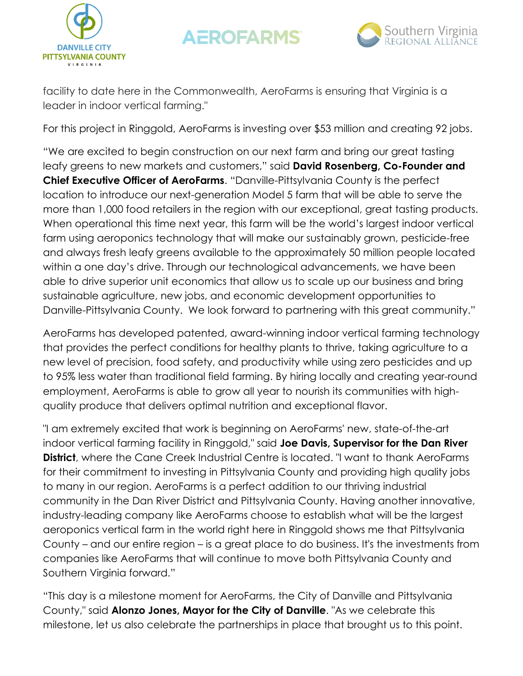



facility to date here in the Commonwealth, AeroFarms is ensuring that Virginia is a leader in indoor vertical farming."

For this project in Ringgold, AeroFarms is investing over \$53 million and creating 92 jobs.

"We are excited to begin construction on our next farm and bring our great tasting leafy greens to new markets and customers," said **David Rosenberg, Co-Founder and Chief Executive Officer of AeroFarms**. "Danville-Pittsylvania County is the perfect location to introduce our next-generation Model 5 farm that will be able to serve the more than 1,000 food retailers in the region with our exceptional, great tasting products. When operational this time next year, this farm will be the world's largest indoor vertical farm using aeroponics technology that will make our sustainably grown, pesticide-free and always fresh leafy greens available to the approximately 50 million people located within a one day's drive. Through our technological advancements, we have been able to drive superior unit economics that allow us to scale up our business and bring sustainable agriculture, new jobs, and economic development opportunities to Danville-Pittsylvania County. We look forward to partnering with this great community."

AeroFarms has developed patented, award-winning indoor vertical farming technology that provides the perfect conditions for healthy plants to thrive, taking agriculture to a new level of precision, food safety, and productivity while using zero pesticides and up to 95% less water than traditional field farming. By hiring locally and creating year-round employment, AeroFarms is able to grow all year to nourish its communities with highquality produce that delivers optimal nutrition and exceptional flavor.

"I am extremely excited that work is beginning on AeroFarms' new, state-of-the-art indoor vertical farming facility in Ringgold," said **Joe Davis, Supervisor for the Dan River District**, where the Cane Creek Industrial Centre is located. "I want to thank AeroFarms for their commitment to investing in Pittsylvania County and providing high quality jobs to many in our region. AeroFarms is a perfect addition to our thriving industrial community in the Dan River District and Pittsylvania County. Having another innovative, industry-leading company like AeroFarms choose to establish what will be the largest aeroponics vertical farm in the world right here in Ringgold shows me that Pittsylvania County – and our entire region – is a great place to do business. It's the investments from companies like AeroFarms that will continue to move both Pittsylvania County and Southern Virginia forward."

"This day is a milestone moment for AeroFarms, the City of Danville and Pittsylvania County," said **Alonzo Jones, Mayor for the City of Danville**. "As we celebrate this milestone, let us also celebrate the partnerships in place that brought us to this point.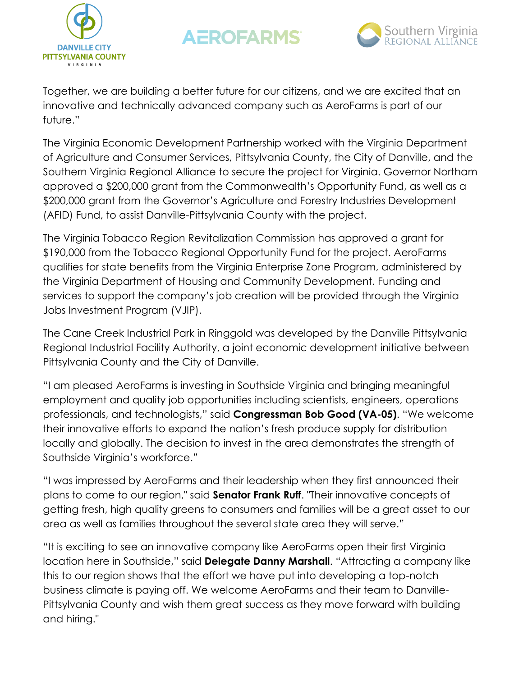



Together, we are building a better future for our citizens, and we are excited that an innovative and technically advanced company such as AeroFarms is part of our future."

The Virginia Economic Development Partnership worked with the Virginia Department of Agriculture and Consumer Services, Pittsylvania County, the City of Danville, and the Southern Virginia Regional Alliance to secure the project for Virginia. Governor Northam approved a \$200,000 grant from the Commonwealth's Opportunity Fund, as well as a \$200,000 grant from the Governor's Agriculture and Forestry Industries Development (AFID) Fund, to assist Danville-Pittsylvania County with the project.

The Virginia Tobacco Region Revitalization Commission has approved a grant for \$190,000 from the Tobacco Regional Opportunity Fund for the project. AeroFarms qualifies for state benefits from the Virginia Enterprise Zone Program, administered by the Virginia Department of Housing and Community Development. Funding and services to support the company's job creation will be provided through the Virginia Jobs Investment Program (VJIP).

The Cane Creek Industrial Park in Ringgold was developed by the Danville Pittsylvania Regional Industrial Facility Authority, a joint economic development initiative between Pittsylvania County and the City of Danville.

"I am pleased AeroFarms is investing in Southside Virginia and bringing meaningful employment and quality job opportunities including scientists, engineers, operations professionals, and technologists," said **Congressman Bob Good (VA-05)**. "We welcome their innovative efforts to expand the nation's fresh produce supply for distribution locally and globally. The decision to invest in the area demonstrates the strength of Southside Virginia's workforce."

"I was impressed by AeroFarms and their leadership when they first announced their plans to come to our region," said **Senator Frank Ruff**. "Their innovative concepts of getting fresh, high quality greens to consumers and families will be a great asset to our area as well as families throughout the several state area they will serve."

"It is exciting to see an innovative company like AeroFarms open their first Virginia location here in Southside," said **Delegate Danny Marshall**. "Attracting a company like this to our region shows that the effort we have put into developing a top-notch business climate is paying off. We welcome AeroFarms and their team to Danville-Pittsylvania County and wish them great success as they move forward with building and hiring."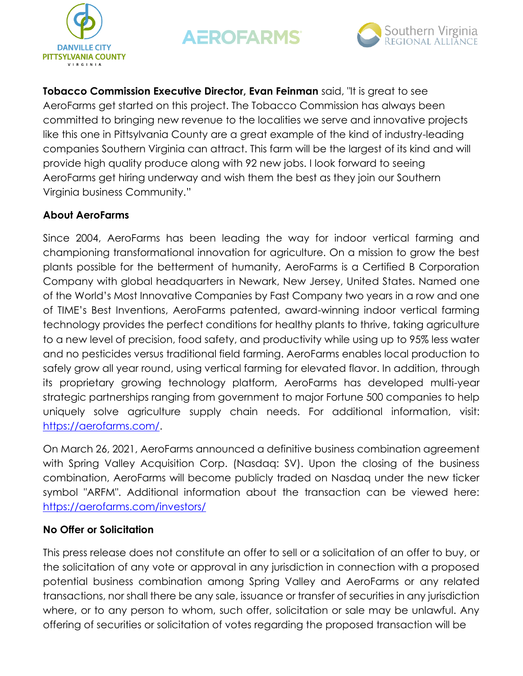



**Tobacco Commission Executive Director, Evan Feinman** said, "It is great to see AeroFarms get started on this project. The Tobacco Commission has always been committed to bringing new revenue to the localities we serve and innovative projects like this one in Pittsylvania County are a great example of the kind of industry-leading companies Southern Virginia can attract. This farm will be the largest of its kind and will provide high quality produce along with 92 new jobs. I look forward to seeing AeroFarms get hiring underway and wish them the best as they join our Southern Virginia business Community."

### **About AeroFarms**

Since 2004, AeroFarms has been leading the way for indoor vertical farming and championing transformational innovation for agriculture. On a mission to grow the best plants possible for the betterment of humanity, AeroFarms is a Certified B Corporation Company with global headquarters in Newark, New Jersey, United States. Named one of the World's Most Innovative Companies by Fast Company two years in a row and one of TIME's Best Inventions, AeroFarms patented, award-winning indoor vertical farming technology provides the perfect conditions for healthy plants to thrive, taking agriculture to a new level of precision, food safety, and productivity while using up to 95% less water and no pesticides versus traditional field farming. AeroFarms enables local production to safely grow all year round, using vertical farming for elevated flavor. In addition, through its proprietary growing technology platform, AeroFarms has developed multi-year strategic partnerships ranging from government to major Fortune 500 companies to help uniquely solve agriculture supply chain needs. For additional information, visit: [https://aerofarms.com/.](https://aerofarms.com/)

On March 26, 2021, AeroFarms announced a definitive business combination agreement with Spring Valley Acquisition Corp. (Nasdaq: SV). Upon the closing of the business combination, AeroFarms will become publicly traded on Nasdaq under the new ticker symbol "ARFM". Additional information about the transaction can be viewed here: [https://aerofarms.com/investors/](https://nam11.safelinks.protection.outlook.com/?url=https%3A%2F%2Fcts.businesswire.com%2Fct%2FCT%3Fid%3Dsmartlink%26url%3Dhttps%253A%252F%252Faerofarms.com%252Finvestors%252F%26esheet%3D52403295%26newsitemid%3D20210330005429%26lan%3Den-US%26anchor%3Dhttps%253A%252F%252Faerofarms.com%252Finvestors%252F%26index%3D2%26md5%3Df93791c8767520e7cf1fe87097f85452&data=04%7C01%7Cmarcoshima%40aerofarms.com%7Cf2f5e3537748407a349708d90584585a%7Cd3dcd3478e82431e9fb2f26c5685f9d6%7C0%7C1%7C637546888235570108%7CUnknown%7CTWFpbGZsb3d8eyJWIjoiMC4wLjAwMDAiLCJQIjoiV2luMzIiLCJBTiI6Ik1haWwiLCJXVCI6Mn0%3D%7C2000&sdata=6H0TKMasaeG3ApfzoR4BP1p1Xid5KI3h%2FPqXI54vEIU%3D&reserved=0)

#### **No Offer or Solicitation**

This press release does not constitute an offer to sell or a solicitation of an offer to buy, or the solicitation of any vote or approval in any jurisdiction in connection with a proposed potential business combination among Spring Valley and AeroFarms or any related transactions, nor shall there be any sale, issuance or transfer of securities in any jurisdiction where, or to any person to whom, such offer, solicitation or sale may be unlawful. Any offering of securities or solicitation of votes regarding the proposed transaction will be